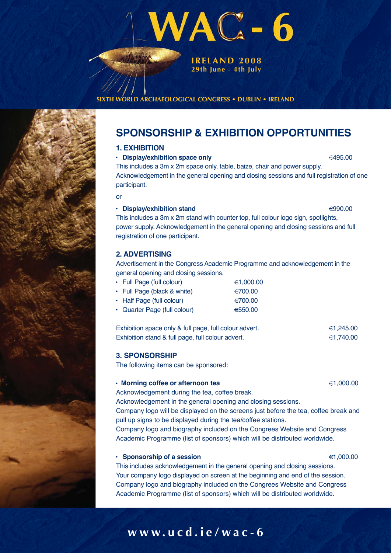

**29th June - 4th July**

**ARCHAEOLOGICAL CONGRESS • DUBLIN • IRELAND** 

# **SPONSORSHIP & EXHIBITION OPPORTUNITIES**

# **1. EXHIBITION**

#### ● Display/exhibition space only **495.00 495.00**

This includes a 3m x 2m space only, table, baize, chair and power supply. Acknowledgement in the general opening and closing sessions and full registration of one participant.

or

#### ● Display/exhibition stand 990.00

This includes a 3m x 2m stand with counter top, full colour logo sign, spotlights, power supply. Acknowledgement in the general opening and closing sessions and full registration of one participant.

# **2. ADVERTISING**

Advertisement in the Congress Academic Programme and acknowledgement in the general opening and closing sessions.

| • Full Page (full colour)    | €1,000.00 |
|------------------------------|-----------|
| • Full Page (black & white)  | €700.00   |
| • Half Page (full colour)    | €700.00   |
| • Quarter Page (full colour) | €550.00   |
|                              |           |

Exhibition space only & full page, full colour advert.  $\epsilon$  1,245.00 Exhibition stand & full page, full colour advert.  $\epsilon$  1,740.00

# **3. SPONSORSHIP**

The following items can be sponsored:

#### **• Morning coffee or afternoon tea 1,000.00** €1,000.00

Acknowledgement during the tea, coffee break.

Acknowledgement in the general opening and closing sessions.

Company logo will be displayed on the screens just before the tea, coffee break and pull up signs to be displayed during the tea/coffee stations.

Company logo and biography included on the Congrees Website and Congress Academic Programme (list of sponsors) which will be distributed worldwide.

# **• Sponsorship of a session in the set of a session in the set of a session in the set of a session in the set of a session in the set of a session in the set of a session in the set of a session in the set of a session i**

This includes acknowledgement in the general opening and closing sessions. Your company logo displayed on screen at the beginning and end of the session. Company logo and biography included on the Congrees Website and Congress Academic Programme (list of sponsors) which will be distributed worldwide.

# **www.ucd.ie/wac-6**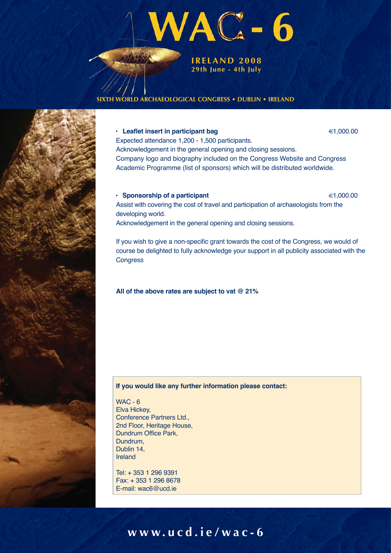

## **ARCHAEOLOGICAL CONGRESS • DUBLIN • IRELAND**

#### **• Leaflet insert in participant bag** 1,000.00 €1,000.00

Expected attendance 1,200 - 1,500 participants. Acknowledgement in the general opening and closing sessions. Company logo and biography included on the Congress Website and Congress Academic Programme (list of sponsors) which will be distributed worldwide.

#### **• Sponsorship of a participant** 1,000.00 and 1,000.00

Assist with covering the cost of travel and participation of archaeologists from the developing world.

Acknowledgement in the general opening and closing sessions.

If you wish to give a non-specific grant towards the cost of the Congress, we would of course be delighted to fully acknowledge your support in all publicity associated with the **Congress** 

### **All of the above rates are subject to vat @ 21%**

### **If you would like any further information please contact:**

WAC - 6 Elva Hickey, Conference Partners Ltd., 2nd Floor, Heritage House, Dundrum Office Park, Dundrum, Dublin 14, Ireland

Tel: + 353 1 296 9391 Fax: + 353 1 296 8678 E-mail: wac6@ucd.ie

# **www.ucd.ie/wac-6**